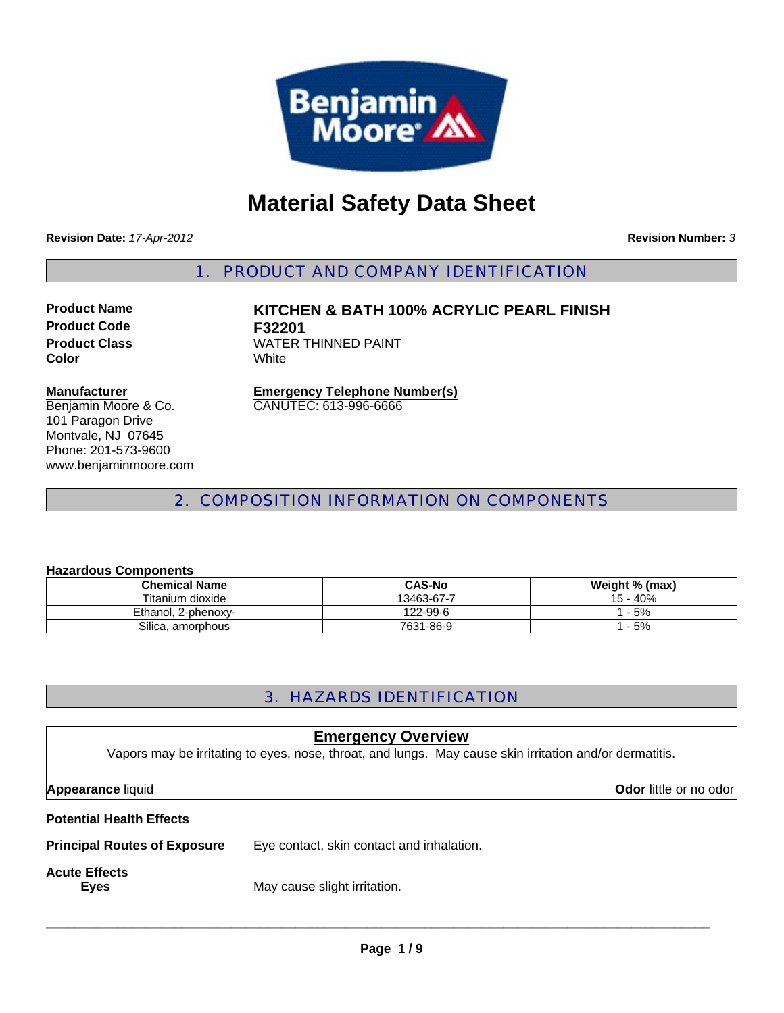

# **Material Safety Data Sheet**

**Revision Date:** *17-Apr-2012*

**Revision Number:** *3*

1. PRODUCT AND COMPANY IDENTIFICATION

**Product Code F32201 Color** White

**Product Name KITCHEN & BATH 100% ACRYLIC PEARL FINISH Product Class WATER THINNED PAINT** 

#### **Manufacturer**

Benjamin Moore & Co. 101 Paragon Drive Montvale, NJ 07645 Phone: 201-573-9600 www.benjaminmoore.com **Emergency Telephone Number(s)** CANUTEC: 613-996-6666

# 2. COMPOSITION INFORMATION ON COMPONENTS

#### **Hazardous Components**

| <b>Chemical Name</b> | <b>CAS-No</b> | Weight % (max) |
|----------------------|---------------|----------------|
| Titanium dioxide     | 13463-67-7    | 15 - 40%       |
| Ethanol, 2-phenoxy-  | 122-99-6      | $-5%$          |
| Silica, amorphous    | 7631-86-9     | $-5%$          |

# 3. HAZARDS IDENTIFICATION

| <b>Emergency Overview</b><br>Vapors may be irritating to eyes, nose, throat, and lungs. May cause skin irritation and/or dermatitis. |                                           |                               |
|--------------------------------------------------------------------------------------------------------------------------------------|-------------------------------------------|-------------------------------|
| <b>Appearance liquid</b>                                                                                                             |                                           | <b>Odor</b> little or no odor |
| <b>Potential Health Effects</b>                                                                                                      |                                           |                               |
| <b>Principal Routes of Exposure</b>                                                                                                  | Eye contact, skin contact and inhalation. |                               |
| <b>Acute Effects</b><br>Eyes                                                                                                         | May cause slight irritation.              |                               |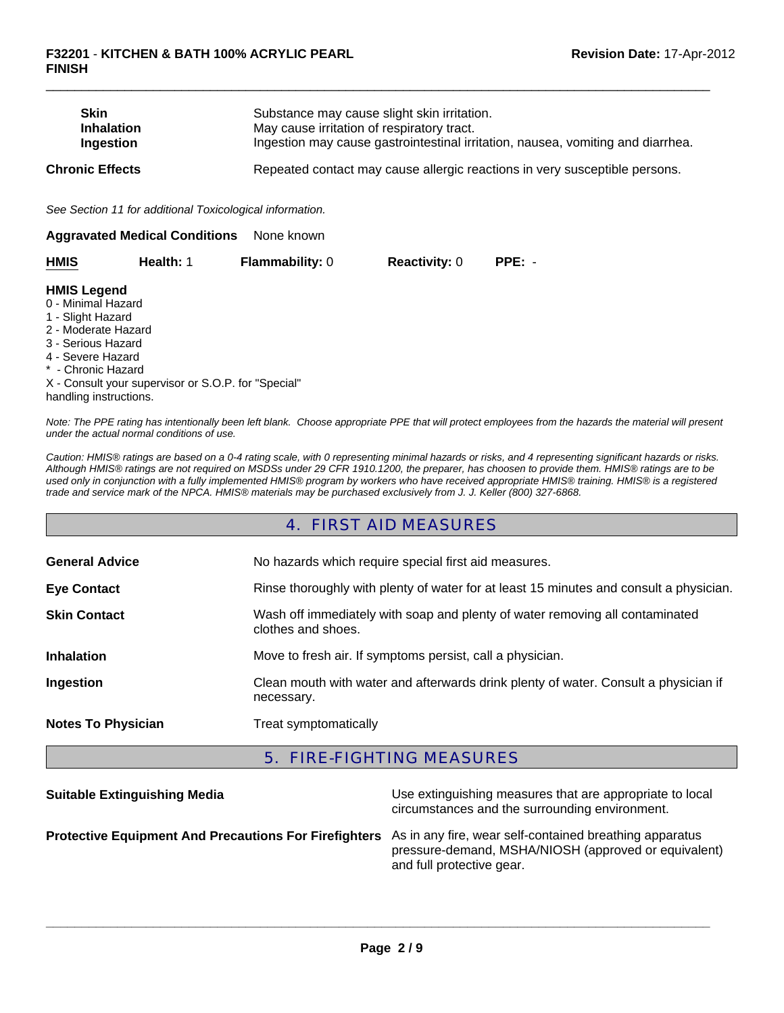| <b>Skin</b><br>Ingestion                                      | <b>Inhalation</b>                                        | Substance may cause slight skin irritation.<br>May cause irritation of respiratory tract.<br>Ingestion may cause gastrointestinal irritation, nausea, vomiting and diarrhea. |                      |          |  |
|---------------------------------------------------------------|----------------------------------------------------------|------------------------------------------------------------------------------------------------------------------------------------------------------------------------------|----------------------|----------|--|
| <b>Chronic Effects</b>                                        |                                                          | Repeated contact may cause allergic reactions in very susceptible persons.                                                                                                   |                      |          |  |
|                                                               | See Section 11 for additional Toxicological information. |                                                                                                                                                                              |                      |          |  |
|                                                               | <b>Aggravated Medical Conditions</b>                     | None known                                                                                                                                                                   |                      |          |  |
| <b>HMIS</b>                                                   | Health: 1                                                | <b>Flammability: 0</b>                                                                                                                                                       | <b>Reactivity: 0</b> | $PPE: -$ |  |
| <b>HMIS Legend</b><br>0 - Minimal Hazard<br>1 - Slight Hazard |                                                          |                                                                                                                                                                              |                      |          |  |

 $\Box$ 

- 1 Slight Hazard
- 2 Moderate Hazard
- 3 Serious Hazard
- 4 Severe Hazard
- \* Chronic Hazard

X - Consult your supervisor or S.O.P. for "Special" handling instructions.

*Note: The PPE rating has intentionally been left blank. Choose appropriate PPE that will protect employees from the hazards the material will present under the actual normal conditions of use.*

*Caution: HMIS® ratings are based on a 0-4 rating scale, with 0 representing minimal hazards or risks, and 4 representing significant hazards or risks. Although HMIS® ratings are not required on MSDSs under 29 CFR 1910.1200, the preparer, has choosen to provide them. HMIS® ratings are to be used only in conjunction with a fully implemented HMIS® program by workers who have received appropriate HMIS® training. HMIS® is a registered trade and service mark of the NPCA. HMIS® materials may be purchased exclusively from J. J. Keller (800) 327-6868.*

# 4. FIRST AID MEASURES

| <b>General Advice</b>     | No hazards which require special first aid measures.                                               |  |
|---------------------------|----------------------------------------------------------------------------------------------------|--|
| <b>Eye Contact</b>        | Rinse thoroughly with plenty of water for at least 15 minutes and consult a physician.             |  |
| <b>Skin Contact</b>       | Wash off immediately with soap and plenty of water removing all contaminated<br>clothes and shoes. |  |
| <b>Inhalation</b>         | Move to fresh air. If symptoms persist, call a physician.                                          |  |
| Ingestion                 | Clean mouth with water and afterwards drink plenty of water. Consult a physician if<br>necessary.  |  |
| <b>Notes To Physician</b> | Treat symptomatically                                                                              |  |

# 5. FIRE-FIGHTING MEASURES

| <b>Suitable Extinguishing Media</b>                                                                           | Use extinguishing measures that are appropriate to local<br>circumstances and the surrounding environment. |
|---------------------------------------------------------------------------------------------------------------|------------------------------------------------------------------------------------------------------------|
| Protective Equipment And Precautions For Firefighters As in any fire, wear self-contained breathing apparatus | pressure-demand, MSHA/NIOSH (approved or equivalent)<br>and full protective gear.                          |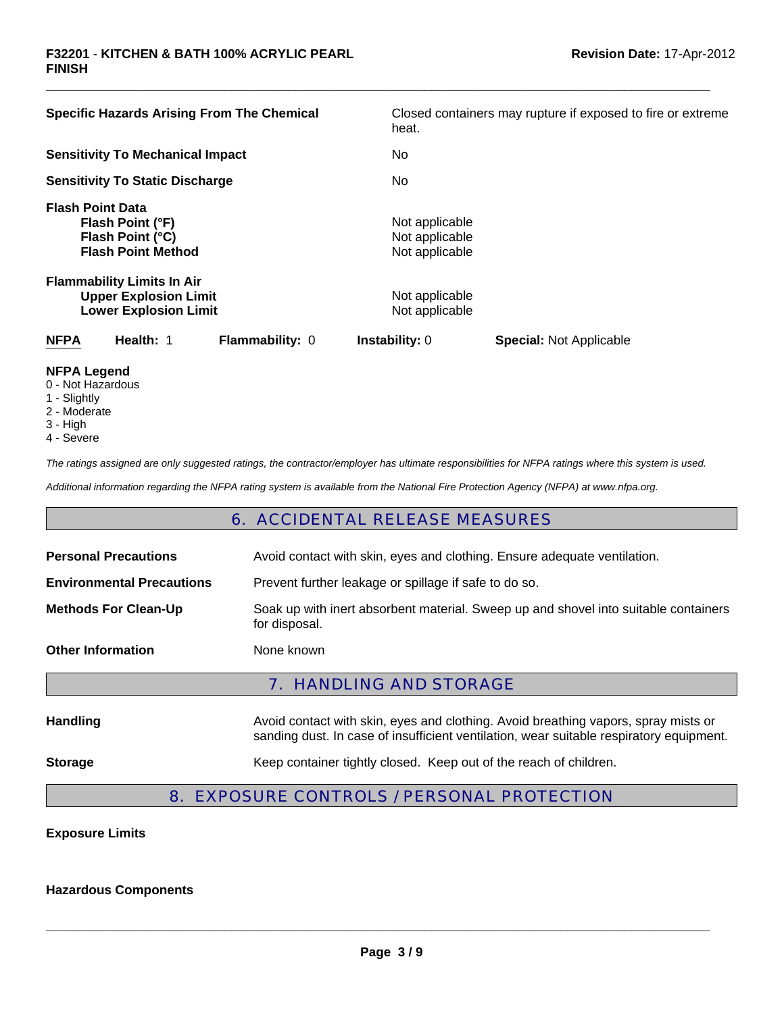| <b>Specific Hazards Arising From The Chemical</b>                                                 | Closed containers may rupture if exposed to fire or extreme<br>heat. |
|---------------------------------------------------------------------------------------------------|----------------------------------------------------------------------|
| <b>Sensitivity To Mechanical Impact</b>                                                           | No.                                                                  |
| <b>Sensitivity To Static Discharge</b>                                                            | No.                                                                  |
| <b>Flash Point Data</b><br>Flash Point (°F)<br>Flash Point (°C)<br><b>Flash Point Method</b>      | Not applicable<br>Not applicable<br>Not applicable                   |
| <b>Flammability Limits In Air</b><br><b>Upper Explosion Limit</b><br><b>Lower Explosion Limit</b> | Not applicable<br>Not applicable                                     |
| Health: 1<br><b>NFPA</b><br>Flammability: 0                                                       | <b>Instability: 0</b><br><b>Special: Not Applicable</b>              |
| NFPA Legend                                                                                       |                                                                      |

 $\Box$ 

- **NFPA Legend** 0 - Not Hazardous
- 1 Slightly
- 2 Moderate
- 
- 3 High
- 4 Severe

*The ratings assigned are only suggested ratings, the contractor/employer has ultimate responsibilities for NFPA ratings where this system is used.*

*Additional information regarding the NFPA rating system is available from the National Fire Protection Agency (NFPA) at www.nfpa.org.*

# 6. ACCIDENTAL RELEASE MEASURES

| <b>Personal Precautions</b>      | Avoid contact with skin, eyes and clothing. Ensure adequate ventilation.                                                                                                      |  |  |
|----------------------------------|-------------------------------------------------------------------------------------------------------------------------------------------------------------------------------|--|--|
| <b>Environmental Precautions</b> | Prevent further leakage or spillage if safe to do so.                                                                                                                         |  |  |
| <b>Methods For Clean-Up</b>      | Soak up with inert absorbent material. Sweep up and shovel into suitable containers<br>for disposal.                                                                          |  |  |
| <b>Other Information</b>         | None known                                                                                                                                                                    |  |  |
| <b>7. HANDLING AND STORAGE</b>   |                                                                                                                                                                               |  |  |
| <b>Handling</b>                  | Avoid contact with skin, eyes and clothing. Avoid breathing vapors, spray mists or<br>sanding dust. In case of insufficient ventilation, wear suitable respiratory equipment. |  |  |
| <b>Storage</b>                   | Keep container tightly closed. Keep out of the reach of children.                                                                                                             |  |  |

# 8. EXPOSURE CONTROLS / PERSONAL PROTECTION

# **Exposure Limits**

#### **Hazardous Components**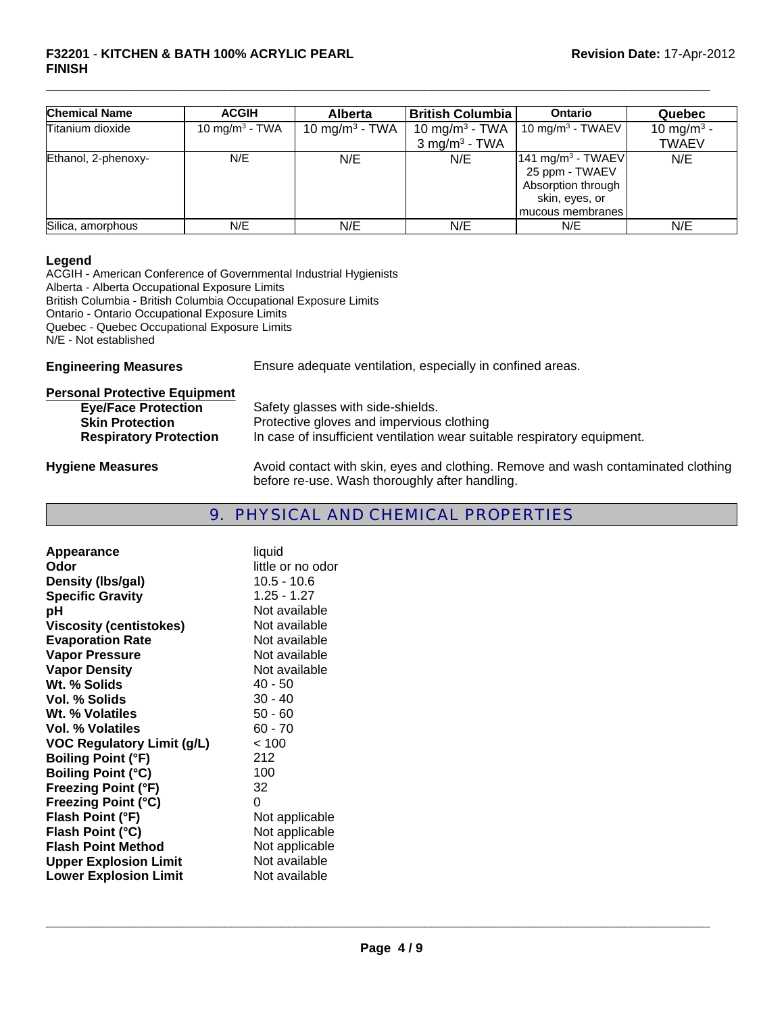#### **F32201** - **KITCHEN & BATH 100% ACRYLIC PEARL FINISH**

| <b>Chemical Name</b> | <b>ACGIH</b>               | <b>Alberta</b>     | <b>British Columbia</b>     | Ontario                                                                                 | Quebec                 |
|----------------------|----------------------------|--------------------|-----------------------------|-----------------------------------------------------------------------------------------|------------------------|
| Titanium dioxide     | 10 mg/m <sup>3</sup> - TWA | 10 mg/m $^3$ - TWA | 10 mg/m <sup>3</sup> - TWA  | 10 mg/m <sup>3</sup> - TWAEV                                                            | 10 mg/m <sup>3</sup> - |
|                      |                            |                    | $3$ mg/m <sup>3</sup> - TWA |                                                                                         | <b>TWAEV</b>           |
| Ethanol, 2-phenoxy-  | N/E                        | N/E                | N/E                         | 141 mg/m <sup>3</sup> - TWAEV<br>25 ppm - TWAEV<br>Absorption through<br>skin, eyes, or | N/E                    |
|                      |                            |                    |                             | mucous membranes                                                                        |                        |
| Silica, amorphous    | N/E                        | N/E                | N/E                         | N/E                                                                                     | N/E                    |

 $\Box$ 

#### **Legend**

ACGIH - American Conference of Governmental Industrial Hygienists Alberta - Alberta Occupational Exposure Limits British Columbia - British Columbia Occupational Exposure Limits Ontario - Ontario Occupational Exposure Limits Quebec - Quebec Occupational Exposure Limits N/E - Not established

**Engineering Measures** Ensure adequate ventilation, especially in confined areas.

| <b>Personal Protective Equipment</b> |                                                                                                                                     |
|--------------------------------------|-------------------------------------------------------------------------------------------------------------------------------------|
| <b>Eye/Face Protection</b>           | Safety glasses with side-shields.                                                                                                   |
| <b>Skin Protection</b>               | Protective gloves and impervious clothing                                                                                           |
| <b>Respiratory Protection</b>        | In case of insufficient ventilation wear suitable respiratory equipment.                                                            |
| <b>Hygiene Measures</b>              | Avoid contact with skin, eyes and clothing. Remove and wash contaminated clothing<br>before re-use. Wash thoroughly after handling. |

# 9. PHYSICAL AND CHEMICAL PROPERTIES

| Appearance                        | liquid            |
|-----------------------------------|-------------------|
| Odor                              | little or no odor |
| Density (Ibs/gal)                 | $10.5 - 10.6$     |
| <b>Specific Gravity</b>           | $1.25 - 1.27$     |
| рH                                | Not available     |
| <b>Viscosity (centistokes)</b>    | Not available     |
| <b>Evaporation Rate</b>           | Not available     |
| <b>Vapor Pressure</b>             | Not available     |
| <b>Vapor Density</b>              | Not available     |
| Wt. % Solids                      | 40 - 50           |
| Vol. % Solids                     | $30 - 40$         |
| Wt. % Volatiles                   | $50 - 60$         |
| Vol. % Volatiles                  | $60 - 70$         |
| <b>VOC Regulatory Limit (g/L)</b> | < 100             |
| <b>Boiling Point (°F)</b>         | 212               |
| <b>Boiling Point (°C)</b>         | 100               |
| <b>Freezing Point (°F)</b>        | 32                |
| <b>Freezing Point (°C)</b>        | 0                 |
| Flash Point (°F)                  | Not applicable    |
| Flash Point (°C)                  | Not applicable    |
| <b>Flash Point Method</b>         | Not applicable    |
| <b>Upper Explosion Limit</b>      | Not available     |
| <b>Lower Explosion Limit</b>      | Not available     |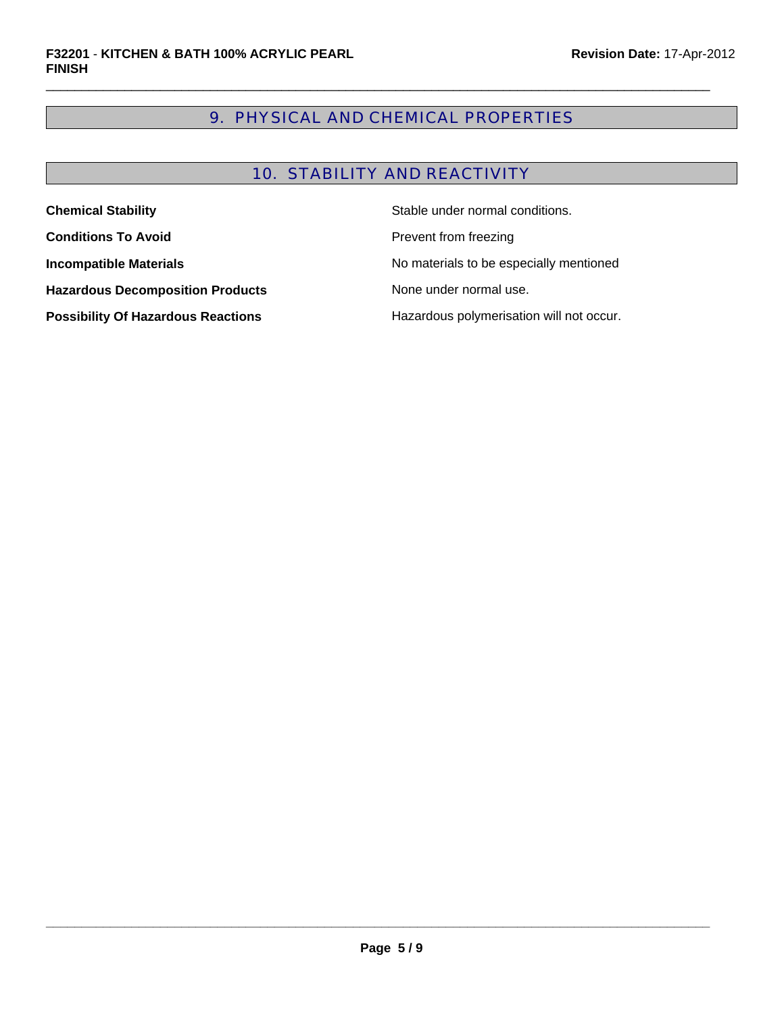# 9. PHYSICAL AND CHEMICAL PROPERTIES

 $\Box$ 

# 10. STABILITY AND REACTIVITY

| Stable under normal conditions.<br><b>Chemical Stability</b> |                                          |
|--------------------------------------------------------------|------------------------------------------|
| <b>Conditions To Avoid</b>                                   | Prevent from freezing                    |
| <b>Incompatible Materials</b>                                | No materials to be especially mentioned  |
| <b>Hazardous Decomposition Products</b>                      | None under normal use.                   |
| <b>Possibility Of Hazardous Reactions</b>                    | Hazardous polymerisation will not occur. |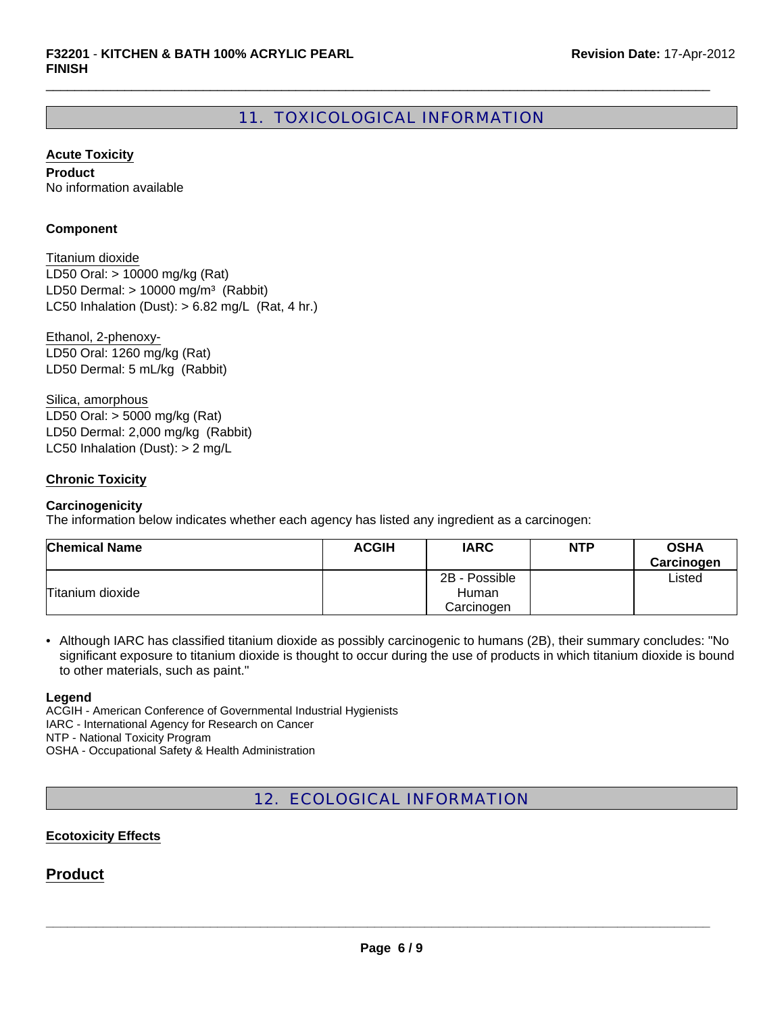# 11. TOXICOLOGICAL INFORMATION

 $\Box$ 

**Acute Toxicity**

**Product** No information available

#### **Component**

LD50 Oral: > 10000 mg/kg (Rat) LD50 Dermal:  $> 10000$  mg/m<sup>3</sup> (Rabbit) Titanium dioxide LC50 Inhalation (Dust):  $> 6.82$  mg/L (Rat, 4 hr.)

Ethanol, 2-phenoxy-LD50 Oral: 1260 mg/kg (Rat) LD50 Dermal: 5 mL/kg (Rabbit)

Silica, amorphous LD50 Oral: > 5000 mg/kg (Rat) LD50 Dermal: 2,000 mg/kg (Rabbit) LC50 Inhalation (Dust): > 2 mg/L

# **Chronic Toxicity**

#### **Carcinogenicity**

The information below indicates whether each agency has listed any ingredient as a carcinogen:

| <b>Chemical Name</b> | <b>ACGIH</b> | <b>IARC</b>   | <b>NTP</b> | <b>OSHA</b><br>Carcinogen |
|----------------------|--------------|---------------|------------|---------------------------|
|                      |              | 2B - Possible |            | Listed                    |
| Titanium dioxide     |              | Human         |            |                           |
|                      |              | Carcinogen    |            |                           |

• Although IARC has classified titanium dioxide as possibly carcinogenic to humans (2B), their summary concludes: "No significant exposure to titanium dioxide is thought to occur during the use of products in which titanium dioxide is bound to other materials, such as paint."

#### **Legend**

ACGIH - American Conference of Governmental Industrial Hygienists IARC - International Agency for Research on Cancer NTP - National Toxicity Program OSHA - Occupational Safety & Health Administration

12. ECOLOGICAL INFORMATION

#### **Ecotoxicity Effects**

# **Product**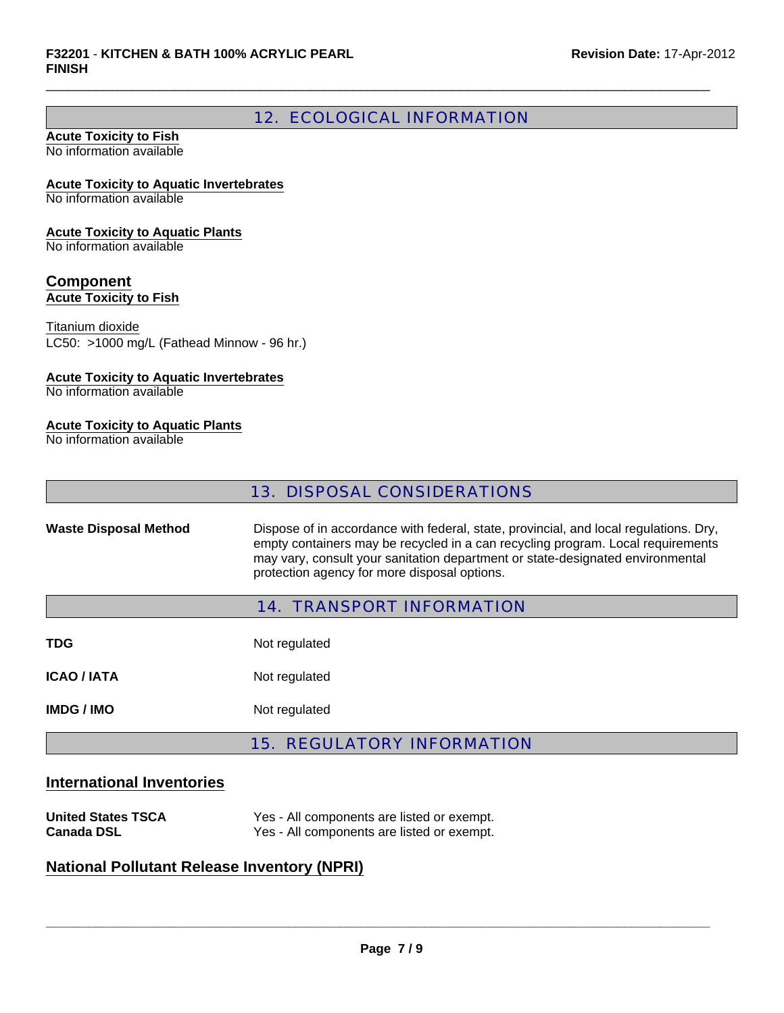# 12. ECOLOGICAL INFORMATION

 $\Box$ 

#### **Acute Toxicity to Fish** No information available

#### **Acute Toxicity to Aquatic Invertebrates**

No information available

#### **Acute Toxicity to Aquatic Plants**

No information available

# **Component Acute Toxicity to Fish**

Titanium dioxide

LC50: >1000 mg/L (Fathead Minnow - 96 hr.)

# **Acute Toxicity to Aquatic Invertebrates**

No information available

# **Acute Toxicity to Aquatic Plants**

No information available

# 13. DISPOSAL CONSIDERATIONS

**Waste Disposal Method** Dispose of in accordance with federal, state, provincial, and local regulations. Dry, empty containers may be recycled in a can recycling program. Local requirements may vary, consult your sanitation department or state-designated environmental protection agency for more disposal options.

# 14. TRANSPORT INFORMATION

| TDG.               | Not regulated |
|--------------------|---------------|
| <b>ICAO / IATA</b> | Not regulated |
| <b>IMDG/IMO</b>    | Not regulated |

# 15. REGULATORY INFORMATION

# **International Inventories**

| <b>United States TSCA</b> | Yes - All components are listed or exempt. |
|---------------------------|--------------------------------------------|
| <b>Canada DSL</b>         | Yes - All components are listed or exempt. |

# **National Pollutant Release Inventory (NPRI)**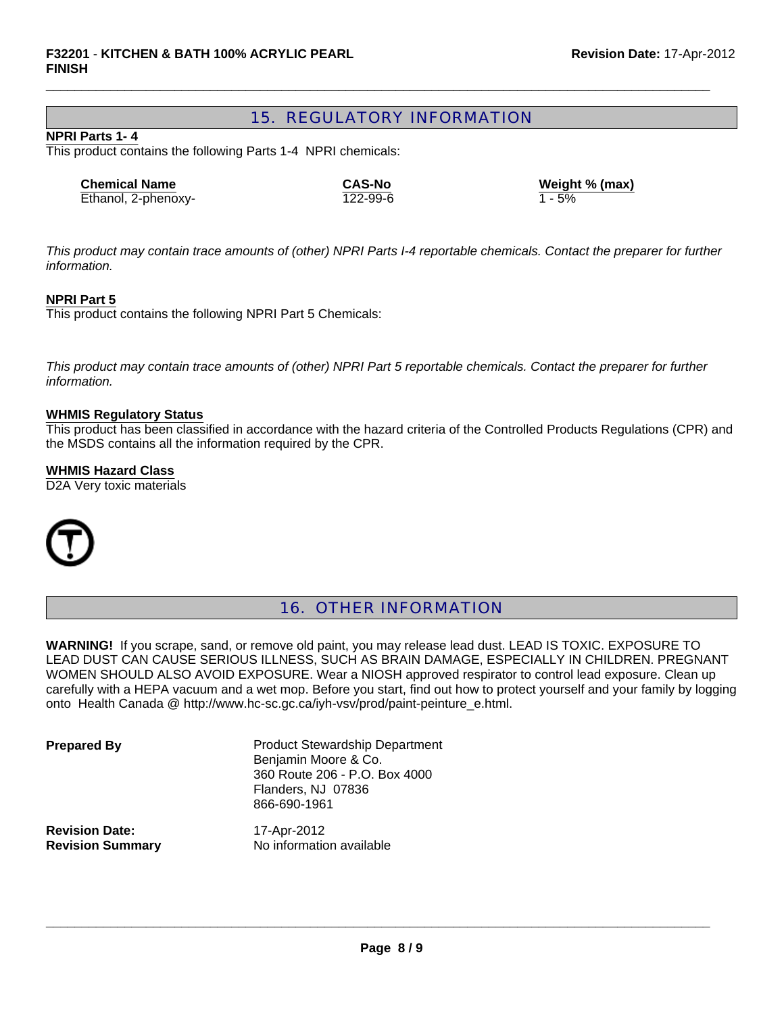# 15. REGULATORY INFORMATION

 $\Box$ 

#### **NPRI Parts 1- 4**

This product contains the following Parts 1-4 NPRI chemicals:

| <b>Chemical Name</b> | <b>CAS-No</b> | Weigh    |
|----------------------|---------------|----------|
| Ethanol, 2-phenoxy-  | 122-99-6      | $1 - 5%$ |

**Combight % (max)** 

*This product may contain trace amounts of (other) NPRI Parts I-4 reportable chemicals. Contact the preparer for further information.*

#### **NPRI Part 5**

This product contains the following NPRI Part 5 Chemicals:

*This product may contain trace amounts of (other) NPRI Part 5 reportable chemicals. Contact the preparer for further information.*

#### **WHMIS Regulatory Status**

This product has been classified in accordance with the hazard criteria of the Controlled Products Regulations (CPR) and the MSDS contains all the information required by the CPR.

#### **WHMIS Hazard Class**

D<sub>2</sub>A Very toxic materials



# 16. OTHER INFORMATION

**WARNING!** If you scrape, sand, or remove old paint, you may release lead dust. LEAD IS TOXIC. EXPOSURE TO LEAD DUST CAN CAUSE SERIOUS ILLNESS, SUCH AS BRAIN DAMAGE, ESPECIALLY IN CHILDREN. PREGNANT WOMEN SHOULD ALSO AVOID EXPOSURE. Wear a NIOSH approved respirator to control lead exposure. Clean up carefully with a HEPA vacuum and a wet mop. Before you start, find out how to protect yourself and your family by logging onto Health Canada @ http://www.hc-sc.gc.ca/iyh-vsv/prod/paint-peinture\_e.html.

**Prepared By** Product Stewardship Department Benjamin Moore & Co. 360 Route 206 - P.O. Box 4000 Flanders, NJ 07836 866-690-1961

**Revision Date:** 17-Apr-2012

**Revision Summary** No information available